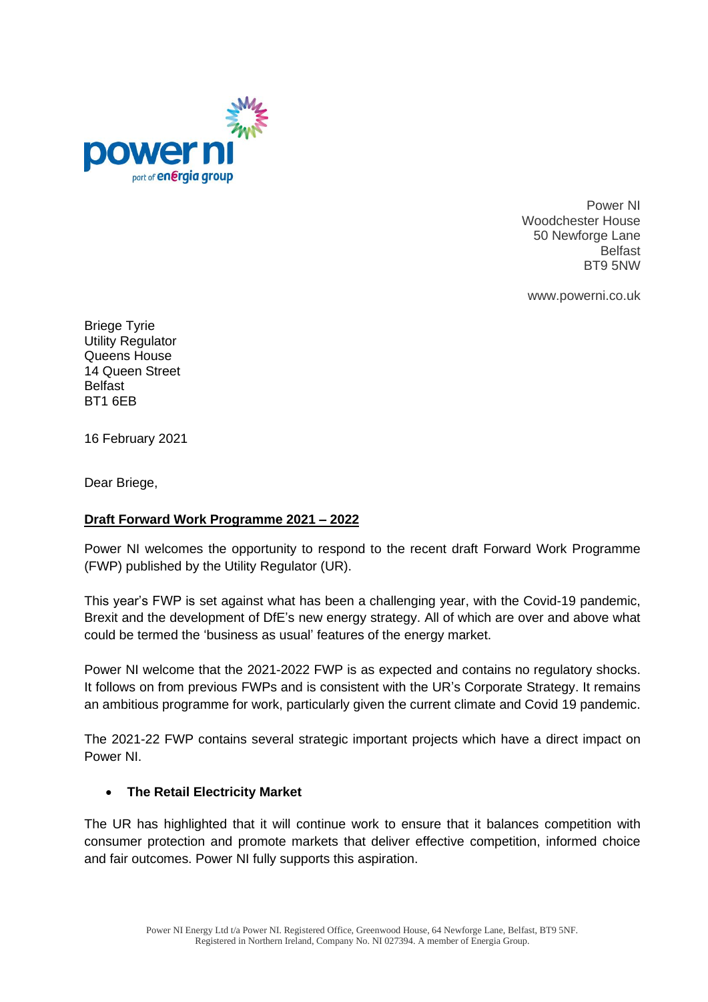

Power NI Woodchester House 50 Newforge Lane Belfast BT9 5NW

www.powerni.co.uk

Briege Tyrie Utility Regulator Queens House 14 Queen Street Belfast BT1 6EB

16 February 2021

Dear Briege,

### **Draft Forward Work Programme 2021 – 2022**

Power NI welcomes the opportunity to respond to the recent draft Forward Work Programme (FWP) published by the Utility Regulator (UR).

This year's FWP is set against what has been a challenging year, with the Covid-19 pandemic, Brexit and the development of DfE's new energy strategy. All of which are over and above what could be termed the 'business as usual' features of the energy market.

Power NI welcome that the 2021-2022 FWP is as expected and contains no regulatory shocks. It follows on from previous FWPs and is consistent with the UR's Corporate Strategy. It remains an ambitious programme for work, particularly given the current climate and Covid 19 pandemic.

The 2021-22 FWP contains several strategic important projects which have a direct impact on Power NI.

### • **The Retail Electricity Market**

The UR has highlighted that it will continue work to ensure that it balances competition with consumer protection and promote markets that deliver effective competition, informed choice and fair outcomes. Power NI fully supports this aspiration.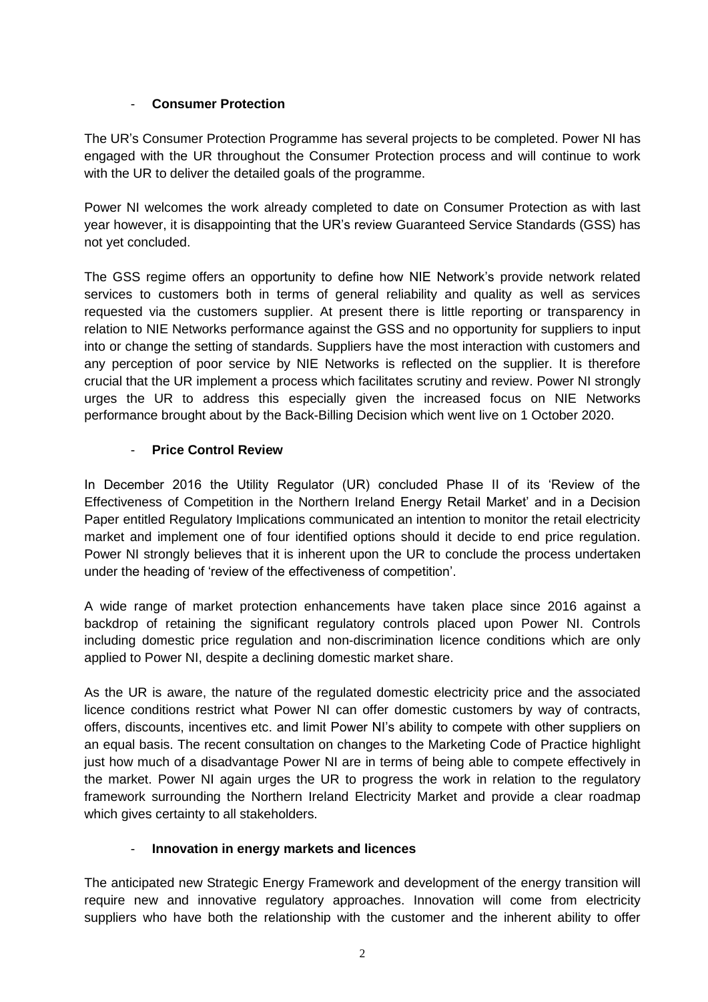# - **Consumer Protection**

The UR's Consumer Protection Programme has several projects to be completed. Power NI has engaged with the UR throughout the Consumer Protection process and will continue to work with the UR to deliver the detailed goals of the programme.

Power NI welcomes the work already completed to date on Consumer Protection as with last year however, it is disappointing that the UR's review Guaranteed Service Standards (GSS) has not yet concluded.

The GSS regime offers an opportunity to define how NIE Network's provide network related services to customers both in terms of general reliability and quality as well as services requested via the customers supplier. At present there is little reporting or transparency in relation to NIE Networks performance against the GSS and no opportunity for suppliers to input into or change the setting of standards. Suppliers have the most interaction with customers and any perception of poor service by NIE Networks is reflected on the supplier. It is therefore crucial that the UR implement a process which facilitates scrutiny and review. Power NI strongly urges the UR to address this especially given the increased focus on NIE Networks performance brought about by the Back-Billing Decision which went live on 1 October 2020.

# **Price Control Review**

In December 2016 the Utility Regulator (UR) concluded Phase II of its 'Review of the Effectiveness of Competition in the Northern Ireland Energy Retail Market' and in a Decision Paper entitled Regulatory Implications communicated an intention to monitor the retail electricity market and implement one of four identified options should it decide to end price regulation. Power NI strongly believes that it is inherent upon the UR to conclude the process undertaken under the heading of 'review of the effectiveness of competition'.

A wide range of market protection enhancements have taken place since 2016 against a backdrop of retaining the significant regulatory controls placed upon Power NI. Controls including domestic price regulation and non-discrimination licence conditions which are only applied to Power NI, despite a declining domestic market share.

As the UR is aware, the nature of the regulated domestic electricity price and the associated licence conditions restrict what Power NI can offer domestic customers by way of contracts, offers, discounts, incentives etc. and limit Power NI's ability to compete with other suppliers on an equal basis. The recent consultation on changes to the Marketing Code of Practice highlight just how much of a disadvantage Power NI are in terms of being able to compete effectively in the market. Power NI again urges the UR to progress the work in relation to the regulatory framework surrounding the Northern Ireland Electricity Market and provide a clear roadmap which gives certainty to all stakeholders.

### - **Innovation in energy markets and licences**

The anticipated new Strategic Energy Framework and development of the energy transition will require new and innovative regulatory approaches. Innovation will come from electricity suppliers who have both the relationship with the customer and the inherent ability to offer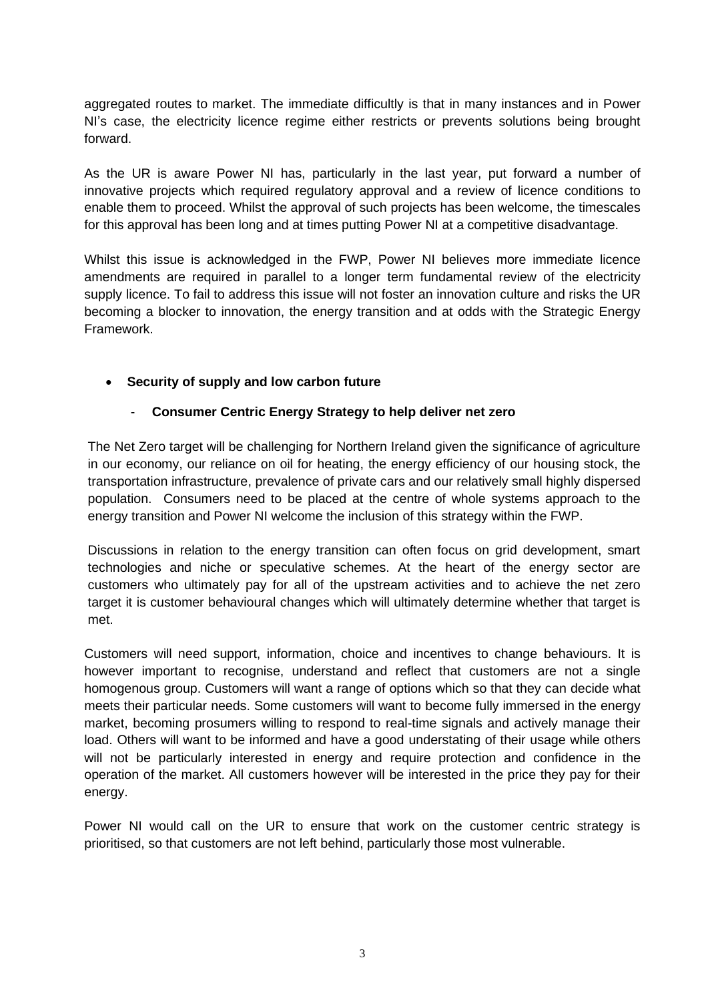aggregated routes to market. The immediate difficultly is that in many instances and in Power NI's case, the electricity licence regime either restricts or prevents solutions being brought forward.

As the UR is aware Power NI has, particularly in the last year, put forward a number of innovative projects which required regulatory approval and a review of licence conditions to enable them to proceed. Whilst the approval of such projects has been welcome, the timescales for this approval has been long and at times putting Power NI at a competitive disadvantage.

Whilst this issue is acknowledged in the FWP, Power NI believes more immediate licence amendments are required in parallel to a longer term fundamental review of the electricity supply licence. To fail to address this issue will not foster an innovation culture and risks the UR becoming a blocker to innovation, the energy transition and at odds with the Strategic Energy Framework.

### • **Security of supply and low carbon future**

#### - **Consumer Centric Energy Strategy to help deliver net zero**

The Net Zero target will be challenging for Northern Ireland given the significance of agriculture in our economy, our reliance on oil for heating, the energy efficiency of our housing stock, the transportation infrastructure, prevalence of private cars and our relatively small highly dispersed population. Consumers need to be placed at the centre of whole systems approach to the energy transition and Power NI welcome the inclusion of this strategy within the FWP.

Discussions in relation to the energy transition can often focus on grid development, smart technologies and niche or speculative schemes. At the heart of the energy sector are customers who ultimately pay for all of the upstream activities and to achieve the net zero target it is customer behavioural changes which will ultimately determine whether that target is met.

Customers will need support, information, choice and incentives to change behaviours. It is however important to recognise, understand and reflect that customers are not a single homogenous group. Customers will want a range of options which so that they can decide what meets their particular needs. Some customers will want to become fully immersed in the energy market, becoming prosumers willing to respond to real-time signals and actively manage their load. Others will want to be informed and have a good understating of their usage while others will not be particularly interested in energy and require protection and confidence in the operation of the market. All customers however will be interested in the price they pay for their energy.

Power NI would call on the UR to ensure that work on the customer centric strategy is prioritised, so that customers are not left behind, particularly those most vulnerable.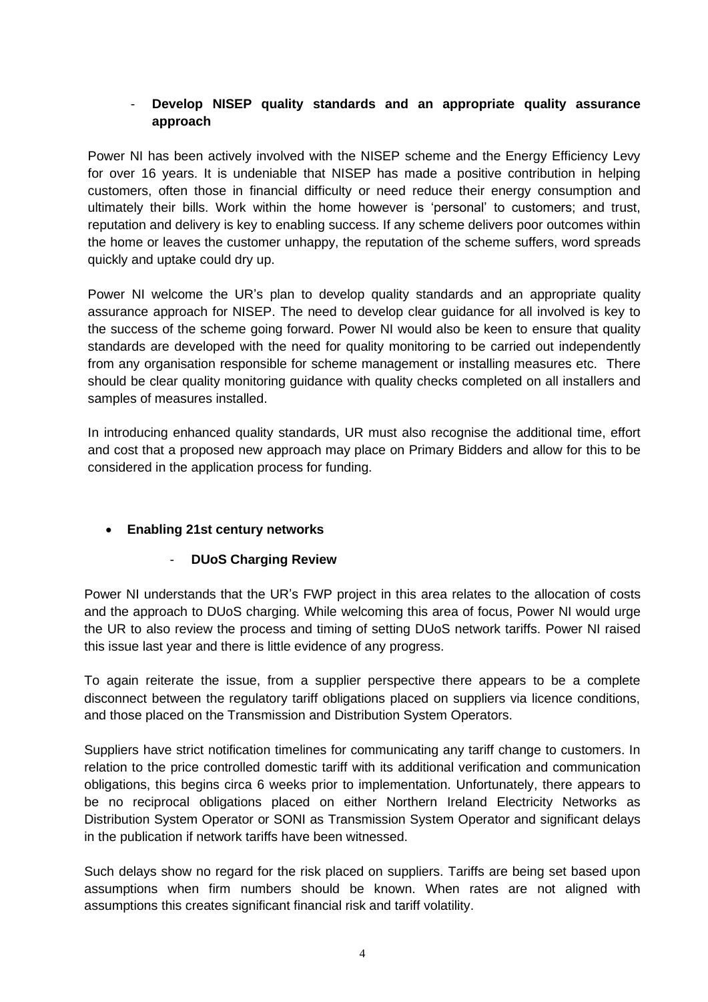### - **Develop NISEP quality standards and an appropriate quality assurance approach**

Power NI has been actively involved with the NISEP scheme and the Energy Efficiency Levy for over 16 years. It is undeniable that NISEP has made a positive contribution in helping customers, often those in financial difficulty or need reduce their energy consumption and ultimately their bills. Work within the home however is 'personal' to customers; and trust, reputation and delivery is key to enabling success. If any scheme delivers poor outcomes within the home or leaves the customer unhappy, the reputation of the scheme suffers, word spreads quickly and uptake could dry up.

Power NI welcome the UR's plan to develop quality standards and an appropriate quality assurance approach for NISEP. The need to develop clear guidance for all involved is key to the success of the scheme going forward. Power NI would also be keen to ensure that quality standards are developed with the need for quality monitoring to be carried out independently from any organisation responsible for scheme management or installing measures etc. There should be clear quality monitoring guidance with quality checks completed on all installers and samples of measures installed.

In introducing enhanced quality standards, UR must also recognise the additional time, effort and cost that a proposed new approach may place on Primary Bidders and allow for this to be considered in the application process for funding.

# • **Enabling 21st century networks**

### - **DUoS Charging Review**

Power NI understands that the UR's FWP project in this area relates to the allocation of costs and the approach to DUoS charging. While welcoming this area of focus, Power NI would urge the UR to also review the process and timing of setting DUoS network tariffs. Power NI raised this issue last year and there is little evidence of any progress.

To again reiterate the issue, from a supplier perspective there appears to be a complete disconnect between the regulatory tariff obligations placed on suppliers via licence conditions, and those placed on the Transmission and Distribution System Operators.

Suppliers have strict notification timelines for communicating any tariff change to customers. In relation to the price controlled domestic tariff with its additional verification and communication obligations, this begins circa 6 weeks prior to implementation. Unfortunately, there appears to be no reciprocal obligations placed on either Northern Ireland Electricity Networks as Distribution System Operator or SONI as Transmission System Operator and significant delays in the publication if network tariffs have been witnessed.

Such delays show no regard for the risk placed on suppliers. Tariffs are being set based upon assumptions when firm numbers should be known. When rates are not aligned with assumptions this creates significant financial risk and tariff volatility.